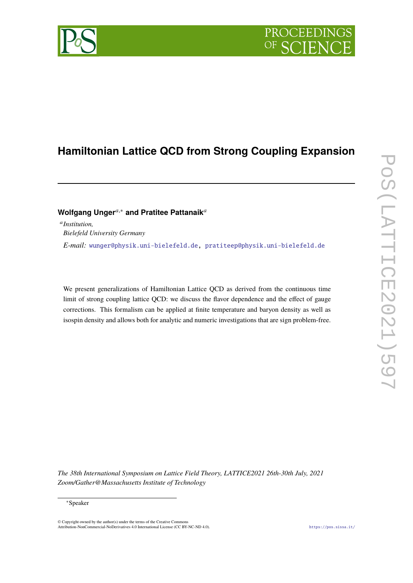# **PROCEEDIN**

## **Hamiltonian Lattice QCD from Strong Coupling Expansion**

### **Wolfgang Unger**<sup>a,\*</sup> and Pratitee Pattanaik<sup>a</sup>

𝑎 *Institution, Bielefeld University Germany E-mail:* [wunger@physik.uni-bielefeld.de,](mailto:wunger@physik.uni-bielefeld.de) [pratiteep@physik.uni-bielefeld.de](mailto:pratiteep@physik.uni-bielefeld.de)

We present generalizations of Hamiltonian Lattice QCD as derived from the continuous time limit of strong coupling lattice QCD: we discuss the flavor dependence and the effect of gauge corrections. This formalism can be applied at finite temperature and baryon density as well as isospin density and allows both for analytic and numeric investigations that are sign problem-free.

*The 38th International Symposium on Lattice Field Theory, LATTICE2021 26th-30th July, 2021 Zoom/Gather@Massachusetts Institute of Technology*

© Copyright owned by the author(s) under the terms of the Creative Commons Attribution-NonCommercial-NoDerivatives 4.0 International License (CC BY-NC-ND 4.0). <https://pos.sissa.it/>



<sup>∗</sup>Speaker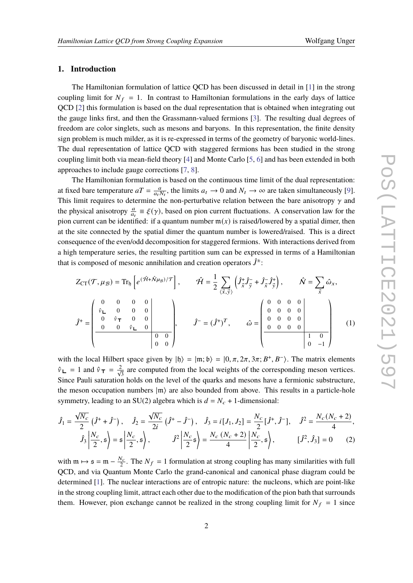#### **1. Introduction**

The Hamiltonian formulation of lattice QCD has been discussed in detail in [\[1\]](#page-7-0) in the strong coupling limit for  $N_f = 1$ . In contrast to Hamiltonian formulations in the early days of lattice QCD [\[2\]](#page-7-1) this formulation is based on the dual representation that is obtained when integrating out the gauge links first, and then the Grassmann-valued fermions [\[3\]](#page-7-2). The resulting dual degrees of freedom are color singlets, such as mesons and baryons. In this representation, the finite density sign problem is much milder, as it is re-expressed in terms of the geometry of baryonic world-lines. The dual representation of lattice QCD with staggered fermions has been studied in the strong coupling limit both via mean-field theory [\[4\]](#page-7-3) and Monte Carlo [\[5,](#page-7-4) [6\]](#page-7-5) and has been extended in both approaches to include gauge corrections [\[7,](#page-7-6) [8\]](#page-7-7).

The Hamiltonian formulation is based on the continuous time limit of the dual representation: at fixed bare temperature  $aT = \frac{a}{a}$  $\frac{a}{a_t N_t}$ , the limits  $a_t \to 0$  and  $N_t \to \infty$  are taken simultaneously [\[9\]](#page-7-8). This limit requires to determine the non-perturbative relation between the bare anisotropy  $\gamma$  and the physical anisotropy  $\frac{a}{a_t} \equiv \xi(\gamma)$ , based on pion current fluctuations. A conservation law for the pion current can be identified: if a quantum number  $m(x)$  is raised/lowered by a spatial dimer, then at the site connected by the spatial dimer the quantum number is lowered/raised. This is a direct consequence of the even/odd decomposition for staggered fermions. With interactions derived from a high temperature series, the resulting partition sum can be expressed in terms of a Hamiltonian that is composed of mesonic annihilation and creation operators  $\hat{J}^{\pm}$ :

$$
Z_{CT}(\mathcal{T}, \mu_{\mathcal{B}}) = \text{Tr}_{\mathfrak{h}} \left[ e^{(\hat{\mathcal{H}} + \hat{N}\mu_{\mathcal{B}})/\mathcal{T}} \right], \qquad \hat{\mathcal{H}} = \frac{1}{2} \sum_{\langle \vec{x}, \vec{y} \rangle} \left( \hat{J}_{\vec{x}}^{+} \hat{J}_{\vec{y}}^{-} + \hat{J}_{\vec{x}}^{-} \hat{J}_{\vec{y}}^{+} \right), \qquad \hat{N} = \sum_{\vec{x}} \hat{\omega}_{x},
$$

$$
\hat{J}^{+} = \begin{pmatrix} 0 & 0 & 0 & 0 \\ \hat{\nu}_{\mathsf{L}} & 0 & 0 & 0 \\ 0 & \hat{\nu}_{\mathsf{T}} & 0 & 0 \\ 0 & 0 & \hat{\nu}_{\mathsf{L}} & 0 \\ 0 & 0 & 0 & 0 \end{pmatrix}, \qquad \hat{J}^{-} = (\hat{J}^{+})^{T}, \qquad \hat{\omega} = \begin{pmatrix} 0 & 0 & 0 & 0 \\ 0 & 0 & 0 & 0 \\ 0 & 0 & 0 & 0 \\ 0 & 0 & 0 & 0 \\ 0 & 0 & 0 & 0 \\ 0 & -1 & 0 & 0 \end{pmatrix} \qquad (1)
$$

with the local Hilbert space given by  $|h\rangle = |m; b\rangle = |0, \pi, 2\pi, 3\pi; B^+, B^- \rangle$ . The matrix elements  $\hat{v}_\mathsf{L} = 1$  and  $\hat{v}_\mathsf{T} = \frac{2}{\sqrt{3}}$  are computed from the local weights of the corresponding meson vertices. Since Pauli saturation holds on the level of the quarks and mesons have a fermionic substructure, the meson occupation numbers  $|m\rangle$  are also bounded from above. This results in a particle-hole symmetry, leading to an SU(2) algebra which is  $d = N_c + 1$ -dimensional:

$$
\hat{J}_1 = \frac{\sqrt{N_c}}{2} \left( \hat{J}^+ + \hat{J}^- \right), \quad \hat{J}_2 = \frac{\sqrt{N_c}}{2i} \left( \hat{J}^+ - \hat{J}^- \right), \quad \hat{J}_3 = i \left[ J_1, J_2 \right] = \frac{N_c}{2} \left[ \hat{J}^+, \hat{J}^- \right], \quad \hat{J}^2 = \frac{N_c (N_c + 2)}{4},
$$
\n
$$
\hat{J}_3 \left| \frac{N_c}{2}, \mathfrak{s} \right\rangle = \mathfrak{s} \left| \frac{N_c}{2}, \mathfrak{s} \right\rangle, \qquad \hat{J}^2 \left| \frac{N_c}{2} \mathfrak{s} \right\rangle = \frac{N_c (N_c + 2)}{4} \left| \frac{N_c}{2}, \mathfrak{s} \right\rangle, \qquad \left[ \hat{J}^2, \hat{J}_3 \right] = 0 \qquad (2)
$$

with  $m \mapsto s = m - \frac{N_c}{2}$  $\frac{N_c}{2}$ . The  $N_f = 1$  formulation at strong coupling has many similarities with full QCD, and via Quantum Monte Carlo the grand-canonical and canonical phase diagram could be determined [\[1\]](#page-7-0). The nuclear interactions are of entropic nature: the nucleons, which are point-like in the strong coupling limit, attract each other due to the modification of the pion bath that surrounds them. However, pion exchange cannot be realized in the strong coupling limit for  $N_f = 1$  since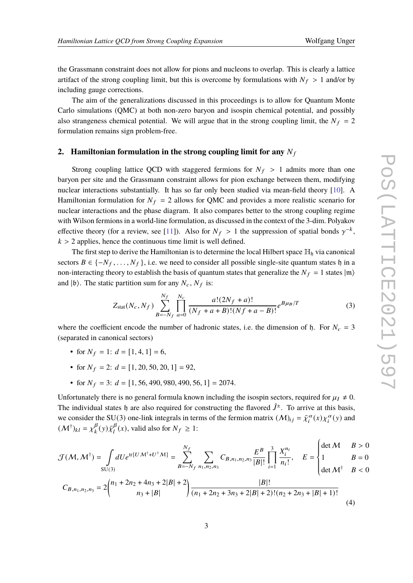The aim of the generalizations discussed in this proceedings is to allow for Quantum Monte Carlo simulations (QMC) at both non-zero baryon and isospin chemical potential, and possibly also strangeness chemical potential. We will argue that in the strong coupling limit, the  $N_f = 2$ formulation remains sign problem-free.

#### **2. Hamiltonian formulation in the strong coupling limit for any**  $N_f$

Strong coupling lattice QCD with staggered fermions for  $N_f > 1$  admits more than one baryon per site and the Grassmann constraint allows for pion exchange between them, modifying nuclear interactions substantially. It has so far only been studied via mean-field theory [\[10\]](#page-7-9). A Hamiltonian formulation for  $N_f = 2$  allows for QMC and provides a more realistic scenario for nuclear interactions and the phase diagram. It also compares better to the strong coupling regime with Wilson fermions in a world-line formulation, as discussed in the context of the 3-dim. Polyakov effective theory (for a review, see [\[11\]](#page-7-10)). Also for  $N_f > 1$  the suppression of spatial bonds  $\gamma^{-k}$ ,  $k > 2$  applies, hence the continuous time limit is well defined.

The first step to derive the Hamiltonian is to determine the local Hilbert space  $\mathbb{H}_{\mathfrak{h}}$  via canonical sectors  $B \in \{-N_f, \ldots, N_f\}$ , i.e. we need to consider all possible single-site quantum states h in a non-interacting theory to establish the basis of quantum states that generalize the  $N_f = 1$  states  $|m\rangle$ and  $|\mathfrak{b}\rangle$ . The static partition sum for any  $N_c$ ,  $N_f$  is:

$$
Z_{\text{stat}}(N_c, N_f) \sum_{B=-N_f}^{N_f} \prod_{a=0}^{N_c} \frac{a!(2N_f + a)!}{(N_f + a + B)!(Nf + a - B)!} e^{B\mu_B/T}
$$
(3)

where the coefficient encode the number of hadronic states, i.e. the dimension of  $\beta$ . For  $N_c = 3$ (separated in canonical sectors)

- for  $N_f = 1$ :  $d = [1, 4, 1] = 6$ ,
- for  $N_f = 2$ :  $d = [1, 20, 50, 20, 1] = 92$ ,
- for  $N_f = 3$ :  $d = [1, 56, 490, 980, 490, 56, 1] = 2074$ .

Unfortunately there is no general formula known including the isospin sectors, required for  $\mu_I \neq 0$ . The individual states h are also required for constructing the flavored  $\hat{J}^{\pm}$ . To arrive at this basis, we consider the SU(3) one-link integrals in terms of the fermion matrix  $(M)_{ij} = \bar{\chi}_i^{\alpha}(x) \chi_i^{\alpha}(y)$  and  $(\mathcal{M}^{\dagger})_{kl} = \chi^{\beta}_{k}$  $\frac{\beta}{k}(y) \bar{\chi}_l^{\beta}$  $_{l}^{\beta}(x)$ , valid also for  $N_f \geq 1$ :

<span id="page-2-0"></span>
$$
\mathcal{J}(\mathcal{M}, \mathcal{M}^{\dagger}) = \int dU e^{\text{tr}[U \mathcal{M}^{\dagger} + U^{\dagger} \mathcal{M}]} = \sum_{B=-N_f}^{N_f} \sum_{n_1, n_2, n_3} C_{B, n_1, n_2, n_3} \frac{E^B}{|B|!} \prod_{i=1}^3 \frac{X_i^{n_i}}{n_i!}, \quad E = \begin{cases} \det \mathcal{M} & B > 0 \\ 1 & B = 0 \\ \det \mathcal{M}^{\dagger} & B < 0 \end{cases}
$$
\n
$$
C_{B, n_1, n_2, n_3} = 2 \binom{n_1 + 2n_2 + 4n_3 + 2|B| + 2}{n_3 + |B|} \frac{|B|!}{(n_1 + 2n_2 + 3n_3 + 2|B| + 2)!(n_2 + 2n_3 + |B| + 1)!} \tag{4}
$$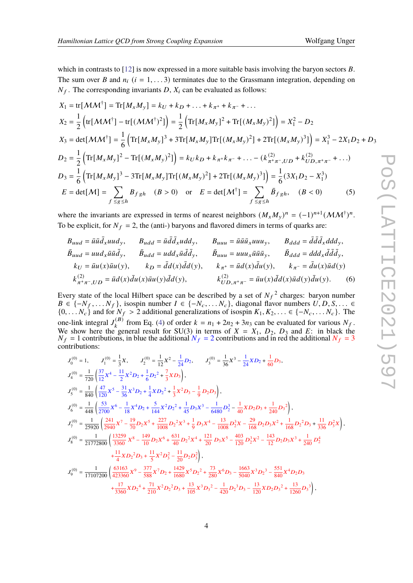which in contrasts to  $[12]$  is now expressed in a more suitable basis involving the baryon sectors B. The sum over B and  $n_i$  ( $i = 1, \ldots, 3$ ) terminates due to the Grassmann integration, depending on  $N_f$ . The corresponding invariants D,  $X_i$  can be evaluated as follows:

$$
X_1 = \text{tr}[M M^{\dagger}] = \text{Tr}[M_x M_y] = k_U + k_D + ... + k_{\pi^+} + k_{\pi^-} + ...
$$
  
\n
$$
X_2 = \frac{1}{2} \left( \text{tr}[M M^{\dagger}] - \text{tr}[(M M^{\dagger})^2] \right) = \frac{1}{2} \left( \text{Tr}[M_x M_y]^2 + \text{Tr}[(M_x M_y)^2] \right) = X_1^2 - D_2
$$
  
\n
$$
X_3 = \text{det}[M M^{\dagger}] = \frac{1}{6} \left( \text{Tr}[M_x M_y]^3 + 3 \text{Tr}[M_x M_y] \text{Tr}[(M_x M_y)^2] + 2 \text{Tr}[(M_x M_y)^3] \right) = X_1^3 - 2X_1 D_2 + D_3
$$
  
\n
$$
D_2 = \frac{1}{2} \left( \text{Tr}[M_x M_y]^2 - \text{Tr}[(M_x M_y)^2] \right) = k_U k_D + k_{\pi^+} k_{\pi^-} + ... - (k_{\pi^+ \pi^-, UD}^{(2)} + k_{UD, \pi^+ \pi^-}^{(2)} + ...)
$$
  
\n
$$
D_3 = \frac{1}{6} \left( \text{Tr}[M_x M_y]^3 - 3 \text{Tr}[M_x M_y] \text{Tr}[(M_x M_y)^2] + 2 \text{Tr}[(M_x M_y)^3] \right) = \frac{1}{6} (3X_1 D_2 - X_1^3)
$$
  
\n
$$
E = \text{det}[M] = \sum_{f \le g \le h} B_{fgh} \quad (B > 0) \quad \text{or} \quad E = \text{det}[M^{\dagger}] = \sum_{f \le g \le h} \bar{B}_{fgh}, \quad (B < 0) \tag{5}
$$

where the invariants are expressed in terms of nearest neighbors  $(M_xM_y)^n = (-1)^{n+1} (MM^{\dagger})^n$ . To be explicit, for  $N_f = 2$ , the (anti-) baryons and flavored dimers in terms of quarks are:

$$
B_{uud} = \bar{u}\bar{u}\bar{d}_x uud_y, \qquad B_{udd} = \bar{u}\bar{d}\bar{d}_x udd_y, \qquad B_{uuu} = \bar{u}\bar{u}\bar{u}_x uuu_y, \qquad B_{ddd} = \bar{d}\bar{d}\bar{d}_x ddd_y,
$$
  
\n
$$
\bar{B}_{uud} = uud_x\bar{u}\bar{d}\bar{d}_y, \qquad \bar{B}_{udd} = udd_x\bar{u}\bar{d}\bar{d}_y, \qquad \bar{B}_{uuu} = uuu_x\bar{u}\bar{u}\bar{u}_y, \qquad \bar{B}_{ddd} = d\bar{d}d_x\bar{d}\bar{d}\bar{d}_y,
$$
  
\n
$$
k_U = \bar{u}u(x)\bar{u}u(y), \qquad k_D = \bar{d}d(x)\bar{d}d(y), \qquad k_{\pi^+} = \bar{u}d(x)\bar{d}u(y), \qquad k_{\pi^-} = \bar{d}u(x)\bar{u}d(y)
$$
  
\n
$$
k_{\pi^+\pi^-, UD}^{(2)} = \bar{u}d(x)\bar{d}u(x)\bar{u}u(y)\bar{d}d(y), \qquad k_{UD,\pi^+\pi^-}^{(2)} = \bar{u}u(x)\bar{d}d(x)\bar{u}d(y)\bar{d}u(y).
$$
 (6)

Every state of the local Hilbert space can be described by a set of  $N_f^2$  charges: baryon number  $B \in \{-N_f, \ldots N_f\}$ , isospin number  $I \in \{-N_c, \ldots N_c\}$ , diagonal flavor numbers  $U, D, S, \ldots \in$  $\{0, \ldots, N_c\}$  and for  $N_f > 2$  additional generalizations of isospin  $K_1, K_2, \ldots \in \{-N_c, \ldots, N_c\}$ . The one-link integral  $J_k^{(B)}$  $k<sup>(B)</sup>$  from Eq. [\(4\)](#page-2-0) of order  $k = n_1 + 2n_2 + 3n_3$  can be evaluated for various  $N_f$ . We show here the general result for SU(3) in terms of  $X = X_1$ ,  $D_2$ ,  $D_3$  and E: in black the  $N_f = 1$  contributions, in blue the additional  $N_f = 2$  contributions and in red the additional  $N_f = 3$ contributions:

$$
J_0^{(0)} = 1, \tJ_1^{(0)} = \frac{1}{3}X, \tJ_2^{(0)} = \frac{1}{12}X^2 - \frac{1}{24}D_2, \tJ_3^{(0)} = \frac{1}{36}X^3 - \frac{1}{24}XD_2 + \frac{1}{60}D_3,
$$
  
\n
$$
J_4^{(0)} = \frac{1}{720} \left( \frac{37}{12}X^4 - \frac{11}{2}X^2D_2 + \frac{1}{6}D_2^2 + \frac{7}{3}XD_3 \right),
$$
  
\n
$$
J_5^{(0)} = \frac{1}{840} \left( \frac{47}{120}X^5 - \frac{31}{36}X^3D_2 + \frac{1}{4}XD_2^2 + \frac{1}{3}X^2D_3 - \frac{1}{9}D_2D_3 \right),
$$
  
\n
$$
J_6^{(0)} = \frac{1}{448} \left( \frac{53}{2700}X^6 - \frac{1}{18}X^4D_2 + \frac{5}{144}X^2D_2^2 + \frac{1}{45}D_3X^3 - \frac{1}{6480}D_2^3 - \frac{1}{40}XD_2D_3 + \frac{1}{240}D_3^2 \right),
$$
  
\n
$$
J_7^{(0)} = \frac{1}{25920} \left( \frac{241}{2940}X^7 - \frac{19}{70}D_2X^5 + \frac{227}{1008}D_2^2X^3 + \frac{1}{9}D_3X^4 - \frac{13}{1008}D_2^3X - \frac{29}{168}D_2D_3X^2 + \frac{1}{168}D_2^2D_3 + \frac{11}{336}D_3^2X \right),
$$
  
\n
$$
J_8^{(0)} = \frac{1}{21772800} \left( \frac{13259}{3360}X^8 - \frac{149}{10}D_2X^6 + \frac{631}{40}D_2^2X^4 + \frac{121}{20}D_3X^5 - \frac{403}{120}D_2^3X^2 - \frac{143}{12}D_
$$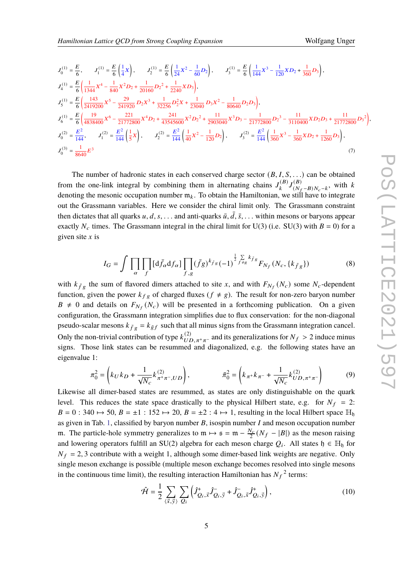$$
J_0^{(1)} = \frac{E}{6}, \qquad J_1^{(1)} = \frac{E}{6} \left( \frac{1}{4} X \right), \qquad J_2^{(1)} = \frac{E}{6} \left( \frac{1}{24} X^2 - \frac{1}{60} D_2 \right), \qquad J_3^{(1)} = \frac{E}{6} \left( \frac{1}{144} X^3 - \frac{1}{120} X D_2 + \frac{1}{360} D_3 \right),
$$
  
\n
$$
J_4^{(1)} = \frac{E}{6} \left( \frac{1}{1344} X^4 - \frac{1}{840} X^2 D_2 + \frac{1}{20160} D_2^2 + \frac{1}{2240} X D_3 \right),
$$
  
\n
$$
J_5^{(1)} = \frac{E}{6} \left( \frac{143}{2419200} X^5 - \frac{29}{241920} D_2 X^3 + \frac{1}{32256} D_2^2 X + \frac{1}{23040} D_3 X^2 - \frac{1}{80640} D_2 D_3 \right),
$$
  
\n
$$
J_6^{(1)} = \frac{E}{6} \left( \frac{19}{4838400} X^6 - \frac{221}{21772800} X^4 D_2 + \frac{241}{43545600} X^2 D_2^2 + \frac{11}{2903040} X^3 D_3 - \frac{1}{21772800} D_2^3 - \frac{11}{3110400} X D_2 D_3 + \frac{11}{21772800} D_3^2 \right),
$$
  
\n
$$
J_0^{(2)} = \frac{E^2}{144}, \qquad J_1^{(2)} = \frac{E^2}{144} \left( \frac{1}{5} X \right), \qquad J_2^{(2)} = \frac{E^2}{144} \left( \frac{1}{40} X^2 - \frac{1}{120} D_2 \right), \qquad J_3^{(2)} = \frac{E^2}{144} \left( \frac{1}{360} X^3 - \frac{1}{360} X D_2 + \frac{1}{1260} D_3 \right),
$$
  
\n
$$
J_
$$

The number of hadronic states in each conserved charge sector  $(B, I, S, ...)$  can be obtained from the one-link integral by combining them in alternating chains  $J_k^{(B)}$  $J^{(B)}_k$  $(S)$ <br> $(N_f-B)N_c-k$ , with k denoting the mesonic occupation number  $m_k$ . To obtain the Hamiltonian, we still have to integrate out the Grassmann variables. Here we consider the chiral limit only. The Grassmann constraint then dictates that all quarks  $u, d, s, \ldots$  and anti-quarks  $\bar{u}, \bar{d}, \bar{s}, \ldots$  within mesons or baryons appear exactly  $N_c$  times. The Grassmann integral in the chiral limit for U(3) (i.e. SU(3) with  $B = 0$ ) for a given site  $x$  is

$$
I_G = \int \prod_{\alpha} \prod_{f} [d\bar{f}_{\alpha} df_{\alpha}] \prod_{f,g} (\bar{f}_{g})^{k_{\bar{f}_{g}}} (-1)^{\frac{1}{2} \sum_{f=g} k_{\bar{f}_{g}}} F_{N_f}(N_c, \{k_{\bar{f}_{g}}\})
$$
(8)

with  $k_{\bar{f}g}$  the sum of flavored dimers attached to site x, and with  $F_{N_f}(N_c)$  some  $N_c$ -dependent function, given the power  $k_{fg}$  of charged fluxes ( $f \neq g$ ). The result for non-zero baryon number  $B \neq 0$  and details on  $F_{N_f}(N_c)$  will be presented in a forthcoming publication. On a given configuration, the Grassmann integration simplifies due to flux conservation: for the non-diagonal pseudo-scalar mesons  $k_{\bar{f}g} = k_{\bar{g}f}$  such that all minus signs from the Grassmann integration cancel. Only the non-trivial contribution of type  $k_{UD,\pi^+\pi^-}^{(2)}$  and its generalizations for  $N_f > 2$  induce minus signs. Those link states can be resummed and diagonalized, e.g. the following states have an eigenvalue 1:

$$
\pi_0^2 = \left(k_U k_D + \frac{1}{\sqrt{N_c}} k_{\pi^+\pi^-, UD}^{(2)}\right), \qquad \qquad \bar{\pi}_0^2 = \left(k_{\pi^+} k_{\pi^-} + \frac{1}{\sqrt{N_c}} k_{UD,\pi^+\pi^-}^{(2)}\right) \tag{9}
$$

Likewise all dimer-based states are resummed, as states are only distinguishable on the quark level. This reduces the state space drastically to the physical Hilbert state, e.g. for  $N_f = 2$ :  $B = 0$ : 340  $\mapsto$  50,  $B = \pm 1$ : 152  $\mapsto$  20,  $B = \pm 2$ : 4  $\mapsto$  1, resulting in the local Hilbert space  $\mathbb{H}_{\mathfrak{h}}$ as given in Tab. [1,](#page-5-0) classified by baryon number  $B$ , isospin number  $I$  and meson occupation number m. The particle-hole symmetry generalizes to  $m \mapsto s = m - \frac{N_c}{2}$  $\frac{N_c}{2}(N_f - |B|)$  as the meson raising and lowering operators fulfill an SU(2) algebra for each meson charge  $Q_i$ . All states  $\mathfrak{h} \in \mathbb{H}_{\mathfrak{h}}$  for  $N_f = 2, 3$  contribute with a weight 1, although some dimer-based link weights are negative. Only single meson exchange is possible (multiple meson exchange becomes resolved into single mesons in the continuous time limit), the resulting interaction Hamiltonian has  $N_f^2$  terms:

$$
\hat{\mathcal{H}} = \frac{1}{2} \sum_{\langle \vec{x}, \vec{y} \rangle} \sum_{Q_i} \left( \hat{J}^+_{Q_i, \vec{x}} \hat{J}^-_{Q_i, \vec{y}} + \hat{J}^-_{Q_i, \vec{x}} \hat{J}^+_{Q_i, \vec{y}} \right), \tag{10}
$$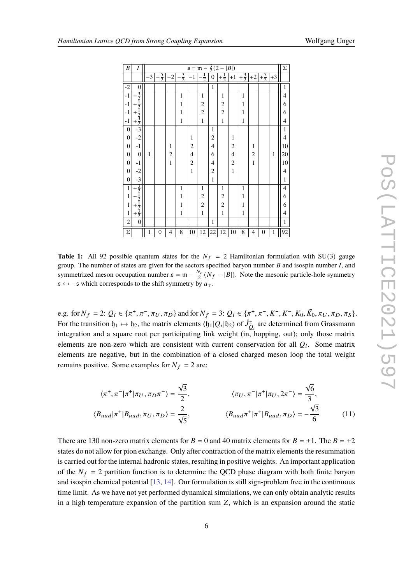<span id="page-5-0"></span>

| B                | I                                                                         |              | $s = m - \frac{3}{2}(2 -  B )$ |                         |              |                |                         |                          |                |                |                |                         |                |              |                |
|------------------|---------------------------------------------------------------------------|--------------|--------------------------------|-------------------------|--------------|----------------|-------------------------|--------------------------|----------------|----------------|----------------|-------------------------|----------------|--------------|----------------|
|                  |                                                                           | $-3$         | $\frac{5}{2}$                  | -2                      | $rac{3}{2}$  | $-1$           | $\frac{1}{2}$           | $\boldsymbol{0}$         | $+\frac{1}{2}$ | $+1$           | $+\frac{3}{2}$ | $+2$                    | $+\frac{5}{2}$ | $+3$         |                |
| $-2$             | $\boldsymbol{0}$                                                          |              |                                |                         |              |                |                         | $\mathbf{1}$             |                |                |                |                         |                |              | $\mathbf{1}$   |
| $-1$             | $\frac{-\frac{3}{2}}{-\frac{1}{2}}$<br>+ $\frac{1}{2}$<br>+ $\frac{3}{2}$ |              |                                |                         | $\mathbf{1}$ |                | $\mathbf{1}$            |                          | $\mathbf{1}$   |                | $\mathbf 1$    |                         |                |              | $\overline{4}$ |
| $-1$             |                                                                           |              |                                |                         | $\mathbf{1}$ |                | $\overline{\mathbf{c}}$ |                          | $\overline{2}$ |                | $\mathbf{1}$   |                         |                |              | 6              |
| $^{\rm -1}$      |                                                                           |              |                                |                         | $\mathbf{1}$ |                | $\overline{c}$          |                          | $\overline{c}$ |                | $\mathbf{1}$   |                         |                |              | 6              |
| $-1$             |                                                                           |              |                                |                         | $\mathbf 1$  |                | $\mathbf{1}$            |                          | $\mathbf{1}$   |                | $\mathbf 1$    |                         |                |              | $\overline{4}$ |
| $\boldsymbol{0}$ | $-3$                                                                      |              |                                |                         |              |                |                         | $\mathbf{1}$             |                |                |                |                         |                |              | $\mathbf{1}$   |
| $\boldsymbol{0}$ | $-2$                                                                      |              |                                |                         |              | $\mathbf{1}$   |                         | $\overline{\mathbf{c}}$  |                | 1              |                |                         |                |              | $\overline{4}$ |
| $\boldsymbol{0}$ | $-1$                                                                      |              |                                | $\mathbf{1}$            |              | $\overline{2}$ |                         | $\overline{\mathcal{L}}$ |                | $\overline{c}$ |                | $\mathbf{1}$            |                |              | 10             |
| $\boldsymbol{0}$ | $\boldsymbol{0}$                                                          | $\mathbf{1}$ |                                | $\overline{\mathbf{c}}$ |              | $\overline{4}$ |                         | 6                        |                | 4              |                | $\overline{\mathbf{c}}$ |                | 1            | 20             |
| $\boldsymbol{0}$ | $-1$                                                                      |              |                                | $\mathbf{1}$            |              | $\overline{c}$ |                         | $\overline{4}$           |                | $\overline{c}$ |                | $\mathbf{1}$            |                |              | 10             |
| $\boldsymbol{0}$ | $-2$                                                                      |              |                                |                         |              | $\mathbf{1}$   |                         | $\overline{c}$           |                | $\mathbf{1}$   |                |                         |                |              | $\overline{4}$ |
| $\boldsymbol{0}$ | $-3$                                                                      |              |                                |                         |              |                |                         | $\mathbf{1}$             |                |                |                |                         |                |              | $\mathbf{1}$   |
| $\,1$            |                                                                           |              |                                |                         | $\mathbf{1}$ |                | $\mathbf{1}$            |                          | $\mathbf{1}$   |                | $\mathbf{1}$   |                         |                |              | $\overline{4}$ |
| $\mathbf{1}$     |                                                                           |              |                                |                         | $\mathbf{1}$ |                | $\overline{\mathbf{c}}$ |                          | $\overline{2}$ |                | $\mathbf{1}$   |                         |                |              | 6              |
| $\mathbf{1}$     | $\frac{-\frac{3}{2}}{-\frac{1}{2}}$<br>+ $\frac{1}{2}$<br>+ $\frac{3}{2}$ |              |                                |                         | $\mathbf{1}$ |                | $\overline{c}$          |                          | $\overline{c}$ |                | $\mathbf 1$    |                         |                |              | 6              |
| $\mathbf{1}$     |                                                                           |              |                                |                         | $\mathbf 1$  |                | $\mathbf{1}$            |                          | $\mathbf{1}$   |                | $\mathbf 1$    |                         |                |              | $\overline{4}$ |
| $\overline{c}$   | $\boldsymbol{0}$                                                          |              |                                |                         |              |                |                         | $\mathbf{1}$             |                |                |                |                         |                |              | $\mathbf{1}$   |
| Σ                |                                                                           | $\mathbf{1}$ | 0                              | 4                       | 8            | $10\,$         | 12                      | 22                       | 12             | 10             | 8              | 4                       | $\mathbf{0}$   | $\mathbf{1}$ | 92             |

**Table 1:** All 92 possible quantum states for the  $N_f = 2$  Hamiltonian formulation with SU(3) gauge group. The number of states are given for the sectors specified baryon number  $B$  and isospin number  $I$ , and symmetrized meson occupation number  $\mathfrak{s} = \mathfrak{m} - \frac{N_c}{2}$  $\frac{N_c}{2}(N_f - |B|)$ . Note the mesonic particle-hole symmetry  $s \leftrightarrow -s$  which corresponds to the shift symmetry by  $a_{\tau}$ .

e.g. for  $N_f = 2$ :  $Q_i \in {\pi^+, \pi^-, \pi_U, \pi_D}$  and for  $N_f = 3$ :  $Q_i \in {\pi^+, \pi^-, K^+, K^-, K_0, \bar{K_0}, \pi_U, \pi_D, \pi_S}$ . For the transition  $\mathfrak{h}_1 \mapsto \mathfrak{h}_2$ , the matrix elements  $\langle \mathfrak{h}_1 | Q_i | \mathfrak{h}_2 \rangle$  of  $\hat{J}_{Q_i}^{\pm}$  are determined from Grassmann integration and a square root per participating link weight (in, hopping, out); only those matrix elements are non-zero which are consistent with current conservation for all  $Q_i$ . Some matrix elements are negative, but in the combination of a closed charged meson loop the total weight remains positive. Some examples for  $N_f = 2$  are:

$$
\langle \pi^+, \pi^- | \pi^+ | \pi_U, \pi_D \pi^- \rangle = \frac{\sqrt{3}}{2}, \qquad \langle \pi_U, \pi^- | \pi^+ | \pi_U, 2\pi^- \rangle = \frac{\sqrt{6}}{3},
$$
  

$$
\langle B_{uud} | \pi^+ | B_{uud}, \pi_U, \pi_D \rangle = \frac{2}{\sqrt{5}}, \qquad \langle B_{uud} \pi^+ | \pi^+ | B_{uud}, \pi_D \rangle = -\frac{\sqrt{3}}{6} \qquad (11)
$$

There are 130 non-zero matrix elements for  $B = 0$  and 40 matrix elements for  $B = \pm 1$ . The  $B = \pm 2$ states do not allow for pion exchange. Only after contraction of the matrix elements the resummation is carried out for the internal hadronic states, resulting in positive weights. An important application of the  $N_f = 2$  partition function is to determine the QCD phase diagram with both finite baryon and isospin chemical potential [\[13,](#page-7-12) [14\]](#page-7-13). Our formulation is still sign-problem free in the continuous time limit. As we have not yet performed dynamical simulations, we can only obtain analytic results in a high temperature expansion of the partition sum  $Z$ , which is an expansion around the static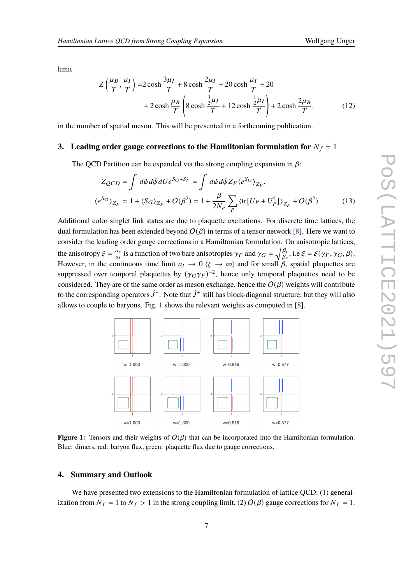limit

$$
Z\left(\frac{\mu_B}{T}, \frac{\mu_I}{T}\right) = 2\cosh\frac{3\mu_I}{T} + 8\cosh\frac{2\mu_I}{T} + 20\cosh\frac{\mu_I}{T} + 20
$$
  
+ 
$$
2\cosh\frac{\mu_B}{T}\left(8\cosh\frac{\frac{3}{2}\mu_I}{T} + 12\cosh\frac{\frac{1}{2}\mu_I}{T}\right) + 2\cosh\frac{2\mu_B}{T}.
$$
 (12)

in the number of spatial meson. This will be presented in a forthcoming publication.

#### **3.** Leading order gauge corrections to the Hamiltonian formulation for  $N_f = 1$

The QCD Partition can be expanded via the strong coupling expansion in  $\beta$ :

$$
Z_{QCD} = \int d\psi d\bar{\psi} dU e^{S_G + S_F} = \int d\psi d\bar{\psi} Z_F \langle e^{S_G} \rangle_{Z_F},
$$
  

$$
\langle e^{S_G} \rangle_{Z_F} \simeq 1 + \langle S_G \rangle_{Z_F} + O(\beta^2) = 1 + \frac{\beta}{2N_c} \sum_P \langle \text{tr}[U_P + U_P^{\dagger}] \rangle_{Z_F} + O(\beta^2)
$$
(13)

Additional color singlet link states are due to plaquette excitations. For discrete time lattices, the dual formulation has been extended beyond  $O(\beta)$  in terms of a tensor network [\[8\]](#page-7-7). Here we want to consider the leading order gauge corrections in a Hamiltonian formulation. On anisotropic lattices, the anisotropy  $\xi = \frac{a_s}{a_t}$  $\frac{a_s}{a_t}$  is a function of two bare anisotropies  $\gamma_F$  and  $\gamma_G = \sqrt{\frac{\beta_t}{\beta_s}}$  $\frac{\beta_t}{\beta_s}$ , i.e  $\xi = \xi(\gamma_F, \gamma_G, \beta)$ . However, in the continuous time limit  $a_t \to 0$  ( $\xi \to \infty$ ) and for small  $\beta$ , spatial plaquettes are suppressed over temporal plaquettes by  $(\gamma_G \gamma_F)^{-2}$ , hence only temporal plaquettes need to be considered. They are of the same order as meson exchange, hence the  $O(\beta)$  weights will contribute to the corresponding operators  $\hat{J}^\pm$ . Note that  $\hat{J}^\pm$  still has block-diagonal structure, but they will also allows to couple to baryons. Fig. [1](#page-6-0) shows the relevant weights as computed in [\[8\]](#page-7-7).

<span id="page-6-0"></span>

**Figure 1:** Tensors and their weights of  $O(B)$  that can be incorporated into the Hamiltonian formulation. Blue: dimers, red: baryon flux, green: plaquette flux due to gauge corrections.

#### **4. Summary and Outlook**

We have presented two extensions to the Hamiltonian formulation of lattice QCD: (1) generalization from  $N_f = 1$  to  $N_f > 1$  in the strong coupling limit, (2)  $O(\beta)$  gauge corrections for  $N_f = 1$ .